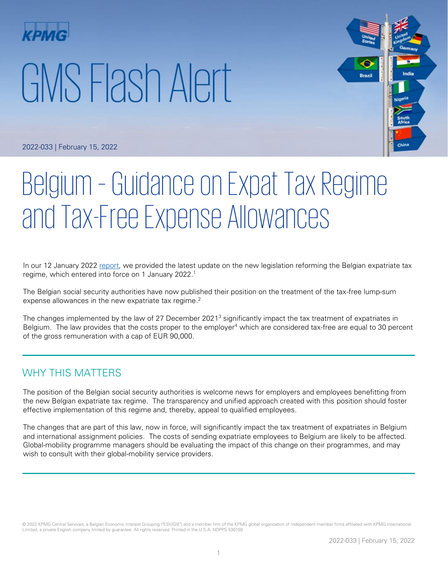# GMS Flash Alert



2022-033 | February 15, 2022

# Belgium – Guidance on Expat Tax Regime and Tax-Free Expense Allowances

In our 12 January 2022 [report,](https://home.kpmg/xx/en/home/insights/2022/01/flash-alert-2022-005.html) we provided the latest update on the new legislation reforming the Belgian expatriate tax regime, which entered into force on 1 January 2022. 1

The Belgian social security authorities have now published their position on the treatment of the tax-free lump-sum expense allowances in the new expatriate tax regime.<sup>2</sup>

The changes implemented by the law of 27 December 2021<sup>3</sup> significantly impact the tax treatment of expatriates in Belgium. The law provides that the costs proper to the employer<sup>4</sup> which are considered tax-free are equal to 30 percent of the gross remuneration with a cap of EUR 90,000.

### WHY THIS MATTERS

The position of the Belgian social security authorities is welcome news for employers and employees benefitting from the new Belgian expatriate tax regime. The transparency and unified approach created with this position should foster effective implementation of this regime and, thereby, appeal to qualified employees.

The changes that are part of this law, now in force, will significantly impact the tax treatment of expatriates in Belgium and international assignment policies. The costs of sending expatriate employees to Belgium are likely to be affected. Global-mobility programme managers should be evaluating the impact of this change on their programmes, and may wish to consult with their global-mobility service providers.

© 2022 KPMG Central Services, a Belgian Economic Interest Grouping ("ESV/GIE") and a member firm of the KPMG global organization of independent member firms affiliated with KPMG International Limited, a private English company limited by guarantee. All rights reserved. Printed in the U.S.A. NDPPS 530159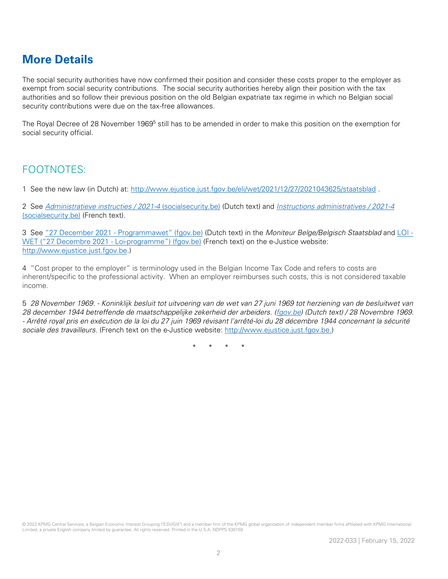# **More Details**

The social security authorities have now confirmed their position and consider these costs proper to the employer as exempt from social security contributions. The social security authorities hereby align their position with the tax authorities and so follow their previous position on the old Belgian expatriate tax regime in which no Belgian social security contributions were due on the tax-free allowances.

The Royal Decree of 28 November 1969<sup>5</sup> still has to be amended in order to make this position on the exemption for social security official.

## FOOTNOTES:

1 See the new law (in Dutch) at:<http://www.ejustice.just.fgov.be/eli/wet/2021/12/27/2021043625/staatsblad> .

2 See [Administratieve instructies / 2021-4](https://www.socialsecurity.be/employer/instructions/dmfa/nl/latest;jsessionid=EB3A71D64042CDE67FAD3B87A33073A7.node1/intermediates#intermediate_row_cd52e14c-f902-4024-860b-1dccf15e67fe) (socialsecurity.be) (Dutch text) and [Instructions administratives / 2021-4](https://www.socialsecurity.be/employer/instructions/dmfa/fr/latest/intermediates) [\(socialsecurity.be\)](https://www.socialsecurity.be/employer/instructions/dmfa/fr/latest/intermediates) (French text).

3 See "[27 December 2021 -](https://www.ejustice.just.fgov.be/eli/wet/2021/12/27/2021043625/staatsblad) Programmawet" (fgov.be) (Dutch text) in the Moniteur Belge/Belgisch Staatsblad and [LOI -](https://www.ejustice.just.fgov.be/cgi_loi/change_lg.pl?language=fr&la=F&cn=2021122701&table_name=loi) WET ("[27 Decembre 2021 -](https://www.ejustice.just.fgov.be/cgi_loi/change_lg.pl?language=fr&la=F&cn=2021122701&table_name=loi) Loi-programme") (fgov.be) (French text) on the e-Justice website: [http://www.ejustice.just.fgov.be.](http://www.ejustice.just.fgov.be/))

4 "Cost proper to the employer" is terminology used in the Belgian Income Tax Code and refers to costs are inherent/specific to the professional activity. When an employer reimburses such costs, this is not considered taxable income.

5 28 November 1969. - Koninklijk besluit tot uitvoering van de wet van 27 juni 1969 tot herziening van de besluitwet van 28 december 1944 betreffende de maatschappelijke zekerheid der arbeiders. [\(fgov.be\)](https://www.ejustice.just.fgov.be/cgi_loi/change_lg.pl?language=nl&la=N&cn=1969112801&table_name=wet) (Dutch text) / 28 Novembre 1969. - Arrêté royal pris en exécution de la loi du 27 juin 1969 révisant l'arrêté-loi du 28 décembre 1944 concernant la sécurité sociale des travailleurs. (French text on the e-Justice website: [http://www.ejustice.just.fgov.be.](http://www.ejustice.just.fgov.be/))

\* \* \* \*

© 2022 KPMG Central Services, a Belgian Economic Interest Grouping ("ESV/GIE") and a member firm of the KPMG global organization of independent member firms affiliated with KPMG International Limited, a private English company limited by guarantee. All rights reserved. Printed in the U.S.A. NDPPS 530159